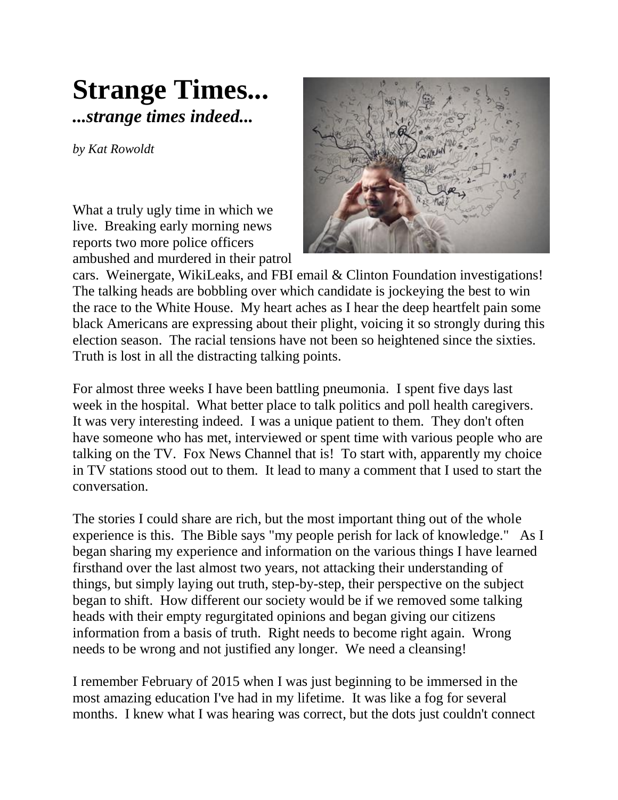## **Strange Times...** *...strange times indeed...*

*by Kat Rowoldt*

What a truly ugly time in which we live. Breaking early morning news reports two more police officers ambushed and murdered in their patrol



cars. Weinergate, WikiLeaks, and FBI email & Clinton Foundation investigations! The talking heads are bobbling over which candidate is jockeying the best to win the race to the White House. My heart aches as I hear the deep heartfelt pain some black Americans are expressing about their plight, voicing it so strongly during this election season. The racial tensions have not been so heightened since the sixties. Truth is lost in all the distracting talking points.

For almost three weeks I have been battling pneumonia. I spent five days last week in the hospital. What better place to talk politics and poll health caregivers. It was very interesting indeed. I was a unique patient to them. They don't often have someone who has met, interviewed or spent time with various people who are talking on the TV. Fox News Channel that is! To start with, apparently my choice in TV stations stood out to them. It lead to many a comment that I used to start the conversation.

The stories I could share are rich, but the most important thing out of the whole experience is this. The Bible says "my people perish for lack of knowledge." As I began sharing my experience and information on the various things I have learned firsthand over the last almost two years, not attacking their understanding of things, but simply laying out truth, step-by-step, their perspective on the subject began to shift. How different our society would be if we removed some talking heads with their empty regurgitated opinions and began giving our citizens information from a basis of truth. Right needs to become right again. Wrong needs to be wrong and not justified any longer. We need a cleansing!

I remember February of 2015 when I was just beginning to be immersed in the most amazing education I've had in my lifetime. It was like a fog for several months. I knew what I was hearing was correct, but the dots just couldn't connect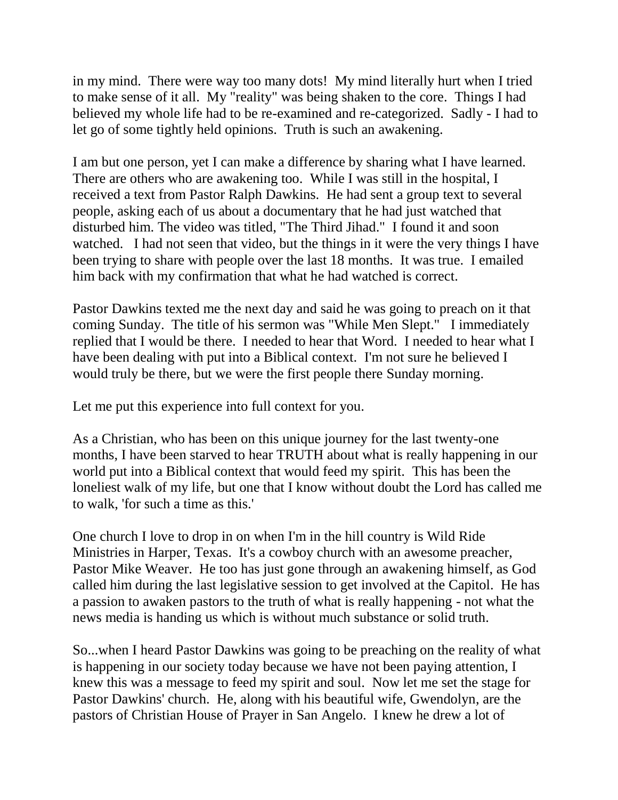in my mind. There were way too many dots! My mind literally hurt when I tried to make sense of it all. My "reality" was being shaken to the core. Things I had believed my whole life had to be re-examined and re-categorized. Sadly - I had to let go of some tightly held opinions. Truth is such an awakening.

I am but one person, yet I can make a difference by sharing what I have learned. There are others who are awakening too. While I was still in the hospital, I received a text from Pastor Ralph Dawkins. He had sent a group text to several people, asking each of us about a documentary that he had just watched that disturbed him. The video was titled, "The Third Jihad." I found it and soon watched. I had not seen that video, but the things in it were the very things I have been trying to share with people over the last 18 months. It was true. I emailed him back with my confirmation that what he had watched is correct.

Pastor Dawkins texted me the next day and said he was going to preach on it that [coming Sunday.](x-apple-data-detectors://embedded-result/3018) The title of his sermon was "While Men Slept." I immediately replied that I would be there. I needed to hear that Word. I needed to hear what I have been dealing with put into a Biblical context. I'm not sure he believed I would truly be there, but we were the first people there [Sunday morning.](x-apple-data-detectors://embedded-result/3319)

Let me put this experience into full context for you.

As a Christian, who has been on this unique journey for the last twenty-one months, I have been starved to hear TRUTH about what is really happening in our world put into a Biblical context that would feed my spirit. This has been the loneliest walk of my life, but one that I know without doubt the Lord has called me to walk, 'for such a time as this.'

One church I love to drop in on when I'm in the hill country is Wild Ride Ministries in Harper, Texas. It's a cowboy church with an awesome preacher, Pastor Mike Weaver. He too has just gone through an awakening himself, as God called him during the last legislative session to get involved at the Capitol. He has a passion to awaken pastors to the truth of what is really happening - not what the news media is handing us which is without much substance or solid truth.

So...when I heard Pastor Dawkins was going to be preaching on the reality of what is happening in our society today because we have not been paying attention, I knew this was a message to feed my spirit and soul. Now let me set the stage for Pastor Dawkins' church. He, along with his beautiful wife, Gwendolyn, are the pastors of Christian House of Prayer in San Angelo. I knew he drew a lot of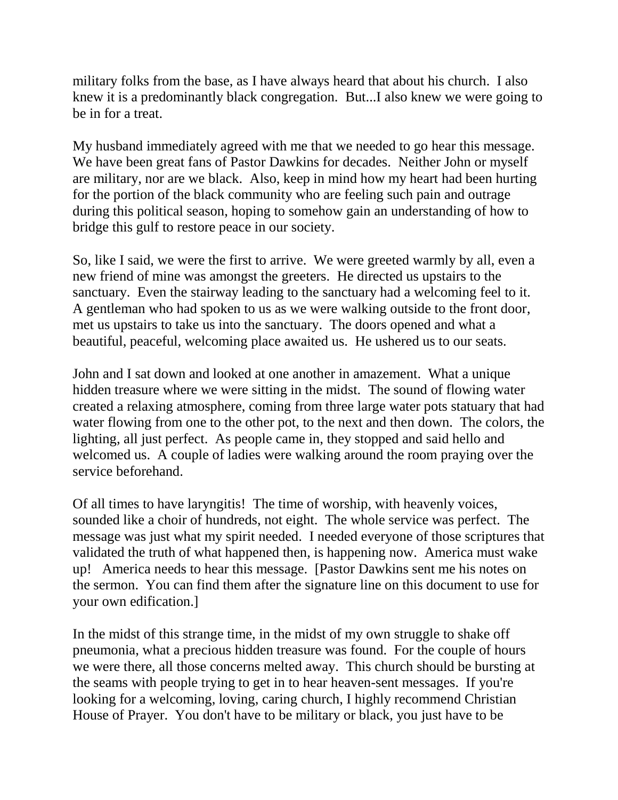military folks from the base, as I have always heard that about his church. I also knew it is a predominantly black congregation. But...I also knew we were going to be in for a treat.

My husband immediately agreed with me that we needed to go hear this message. We have been great fans of Pastor Dawkins for decades. Neither John or myself are military, nor are we black. Also, keep in mind how my heart had been hurting for the portion of the black community who are feeling such pain and outrage during this political season, hoping to somehow gain an understanding of how to bridge this gulf to restore peace in our society.

So, like I said, we were the first to arrive. We were greeted warmly by all, even a new friend of mine was amongst the greeters. He directed us upstairs to the sanctuary. Even the stairway leading to the sanctuary had a welcoming feel to it. A gentleman who had spoken to us as we were walking outside to the front door, met us upstairs to take us into the sanctuary. The doors opened and what a beautiful, peaceful, welcoming place awaited us. He ushered us to our seats.

John and I sat down and looked at one another in amazement. What a unique hidden treasure where we were sitting in the midst. The sound of flowing water created a relaxing atmosphere, coming from three large water pots statuary that had water flowing from one to the other pot, to the next and then down. The colors, the lighting, all just perfect. As people came in, they stopped and said hello and welcomed us. A couple of ladies were walking around the room praying over the service beforehand.

Of all times to have laryngitis! The time of worship, with heavenly voices, sounded like a choir of hundreds, not eight. The whole service was perfect. The message was just what my spirit needed. I needed everyone of those scriptures that validated the truth of what happened then, is happening now. America must wake up! America needs to hear this message. [Pastor Dawkins sent me his notes on the sermon. You can find them after the signature line on this document to use for your own edification.]

In the midst of this strange time, in the midst of my own struggle to shake off pneumonia, what a precious hidden treasure was found. For the couple of hours we were there, all those concerns melted away. This church should be bursting at the seams with people trying to get in to hear heaven-sent messages. If you're looking for a welcoming, loving, caring church, I highly recommend Christian House of Prayer. You don't have to be military or black, you just have to be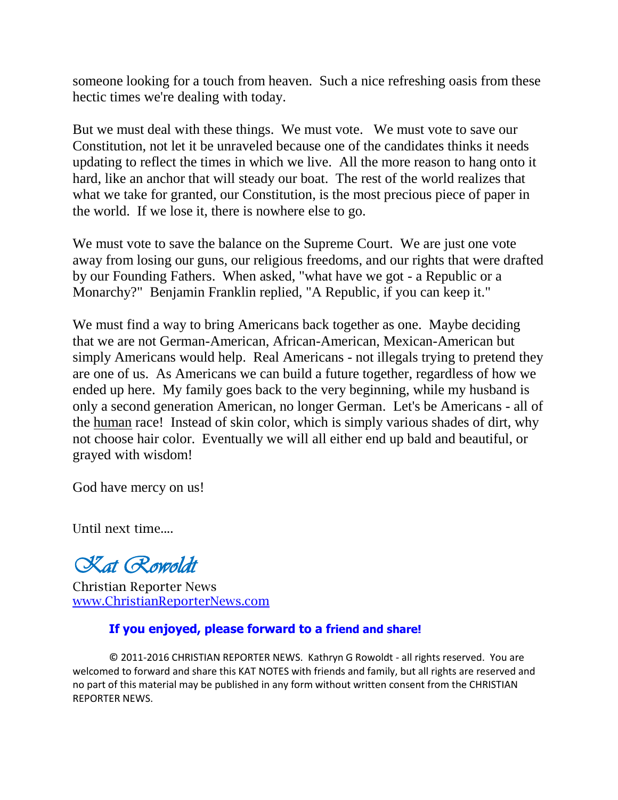someone looking for a touch from heaven. Such a nice refreshing oasis from these hectic times we're dealing with today.

But we must deal with these things. We must vote. We must vote to save our Constitution, not let it be unraveled because one of the candidates thinks it needs updating to reflect the times in which we live. All the more reason to hang onto it hard, like an anchor that will steady our boat. The rest of the world realizes that what we take for granted, our Constitution, is the most precious piece of paper in the world. If we lose it, there is nowhere else to go.

We must vote to save the balance on the Supreme Court. We are just one vote away from losing our guns, our religious freedoms, and our rights that were drafted by our Founding Fathers. When asked, "what have we got - a Republic or a Monarchy?" Benjamin Franklin replied, "A Republic, if you can keep it."

We must find a way to bring Americans back together as one. Maybe deciding that we are not German-American, African-American, Mexican-American but simply Americans would help. Real Americans - not illegals trying to pretend they are one of us. As Americans we can build a future together, regardless of how we ended up here. My family goes back to the very beginning, while my husband is only a second generation American, no longer German. Let's be Americans - all of the human race! Instead of skin color, which is simply various shades of dirt, why not choose hair color. Eventually we will all either end up bald and beautiful, or grayed with wisdom!

God have mercy on us!

Until next time....

*Kat Rowoldt*

Christian Reporter News www.ChristianReporterNews.com

## **If you enjoyed, please forward to a friend and share!**

**©** 2011-2016 CHRISTIAN REPORTER NEWS. Kathryn G Rowoldt - all rights reserved. You are welcomed to forward and share this KAT NOTES with friends and family, but all rights are reserved and no part of this material may be published in any form without written consent from the CHRISTIAN REPORTER NEWS.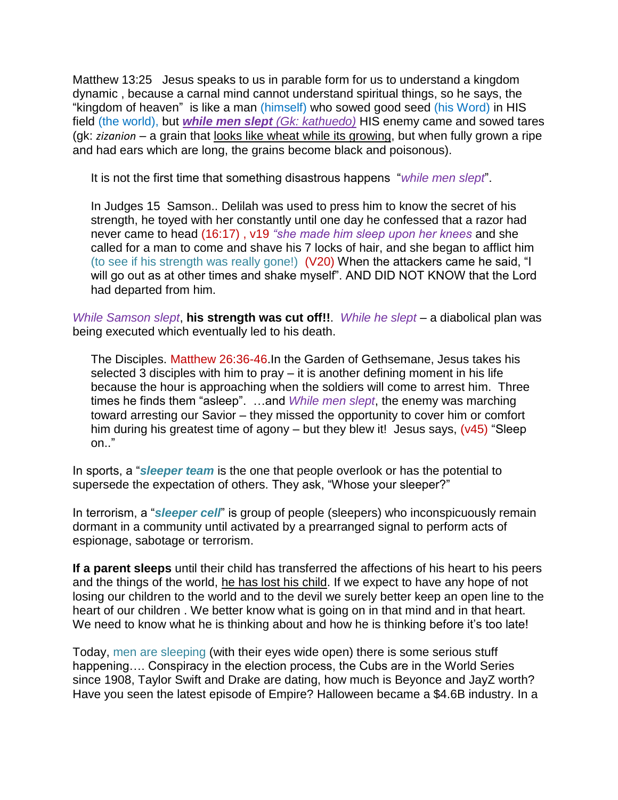Matthew 13:25 Jesus speaks to us in parable form for us to understand a kingdom dynamic , because a carnal mind cannot understand spiritual things, so he says, the "kingdom of heaven" is like a man (himself) who sowed good seed (his Word) in HIS field (the world), but *while men slept (Gk: kathuedo)* HIS enemy came and sowed tares (gk: *zizanion* – a grain that looks like wheat while its growing, but when fully grown a ripe and had ears which are long, the grains become black and poisonous).

It is not the first time that something disastrous happens "*while men slept*".

In Judges 15 Samson.. Delilah was used to press him to know the secret of his strength, he toyed with her constantly until one day he confessed that a razor had never came to head (16:17) , v19 *"she made him sleep upon her knees* and she called for a man to come and shave his 7 locks of hair, and she began to afflict him (to see if his strength was really gone!) (V20) When the attackers came he said, "I will go out as at other times and shake myself". AND DID NOT KNOW that the Lord had departed from him.

*While Samson slept*, **his strength was cut off!!**. *While he slept* – a diabolical plan was being executed which eventually led to his death.

The Disciples. Matthew 26:36-46.In the Garden of Gethsemane, Jesus takes his selected  $3$  disciples with him to pray  $-$  it is another defining moment in his life because the hour is approaching when the soldiers will come to arrest him. Three times he finds them "asleep". …and *While men slept*, the enemy was marching toward arresting our Savior – they missed the opportunity to cover him or comfort him during his greatest time of agony – but they blew it! Jesus says,  $(v45)$  "Sleep on.."

In sports, a "*sleeper team* is the one that people overlook or has the potential to supersede the expectation of others. They ask, "Whose your sleeper?"

In terrorism, a "*sleeper cell*" is group of people (sleepers) who inconspicuously remain dormant in a community until activated by a prearranged signal to perform acts of espionage, sabotage or terrorism.

**If a parent sleeps** until their child has transferred the affections of his heart to his peers and the things of the world, he has lost his child. If we expect to have any hope of not losing our children to the world and to the devil we surely better keep an open line to the heart of our children . We better know what is going on in that mind and in that heart. We need to know what he is thinking about and how he is thinking before it's too late!

Today, men are sleeping (with their eyes wide open) there is some serious stuff happening…. Conspiracy in the election process, the Cubs are in the World Series since 1908, Taylor Swift and Drake are dating, how much is Beyonce and JayZ worth? Have you seen the latest episode of Empire? Halloween became a \$4.6B industry. In a